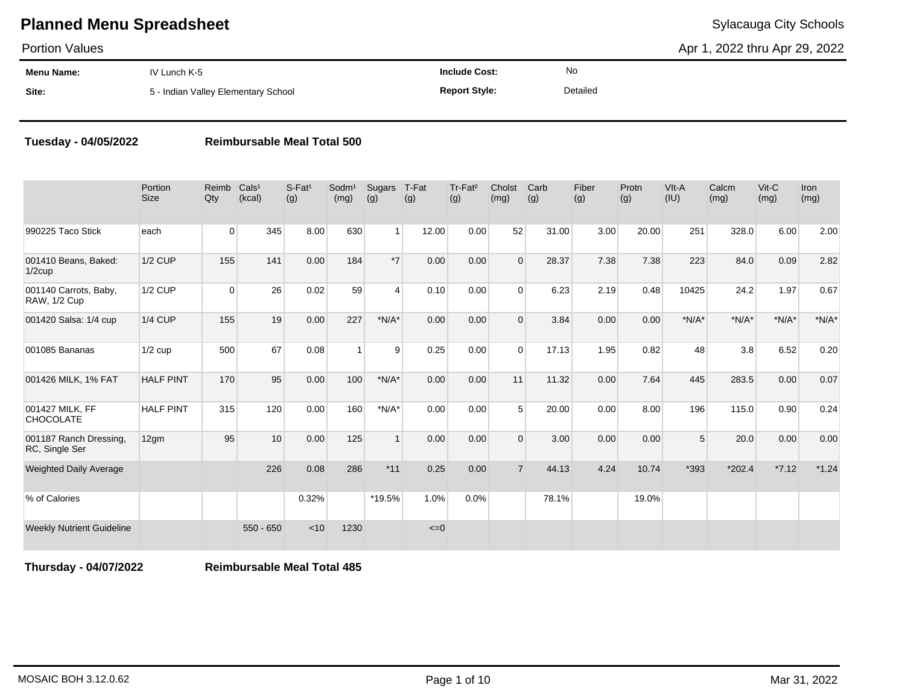Portion Values

Apr 1, 2022 thru Apr 29, 2022

| Menu Name: | IV Lunch K-5                        | <b>Include Cost:</b> | <b>No</b> |
|------------|-------------------------------------|----------------------|-----------|
| Site:      | 5 - Indian Valley Elementary School | <b>Report Style:</b> | Detailed  |

#### **Tuesday - 04/05/2022 Reimbursable Meal Total 500**

|                                          | Portion<br><b>Size</b> | Reimb<br>Qty | Cals <sup>1</sup><br>(kcal) | $S-Fat1$<br>(g) | Sodm <sup>1</sup><br>(mg) | Sugars<br>(g)  | T-Fat<br>(g) | Tr-Fat <sup>2</sup><br>(g) | Cholst<br>(mg) | Carb<br>(g) | Fiber<br>(g) | Protn<br>(g) | VIt-A<br>(IU)  | Calcm<br>(mg) | $V$ it-C<br>(mg) | <b>Iron</b><br>(mg) |
|------------------------------------------|------------------------|--------------|-----------------------------|-----------------|---------------------------|----------------|--------------|----------------------------|----------------|-------------|--------------|--------------|----------------|---------------|------------------|---------------------|
| 990225 Taco Stick                        | each                   | $\mathbf{0}$ | 345                         | 8.00            | 630                       | 1 <sup>1</sup> | 12.00        | 0.00                       | 52             | 31.00       | 3.00         | 20.00        | 251            | 328.0         | 6.00             | 2.00                |
| 001410 Beans, Baked:<br>$1/2$ cup        | <b>1/2 CUP</b>         | 155          | 141                         | 0.00            | 184                       | $*7$           | 0.00         | 0.00                       | $\Omega$       | 28.37       | 7.38         | 7.38         | 223            | 84.0          | 0.09             | 2.82                |
| 001140 Carrots, Baby,<br>RAW, 1/2 Cup    | 1/2 CUP                | $\Omega$     | 26                          | 0.02            | 59                        | $\overline{4}$ | 0.10         | 0.00                       | $\Omega$       | 6.23        | 2.19         | 0.48         | 10425          | 24.2          | 1.97             | 0.67                |
| 001420 Salsa: 1/4 cup                    | <b>1/4 CUP</b>         | 155          | 19                          | 0.00            | 227                       | $*N/A*$        | 0.00         | 0.00                       | $\Omega$       | 3.84        | 0.00         | 0.00         | $*N/A*$        | $*N/A*$       | $*N/A*$          | $*N/A*$             |
| 001085 Bananas                           | $1/2$ cup              | 500          | 67                          | 0.08            | $\mathbf{1}$              | 9              | 0.25         | 0.00                       | $\Omega$       | 17.13       | 1.95         | 0.82         | 48             | 3.8           | 6.52             | 0.20                |
| 001426 MILK, 1% FAT                      | <b>HALF PINT</b>       | 170          | 95                          | 0.00            | 100                       | $*N/A*$        | 0.00         | 0.00                       | 11             | 11.32       | 0.00         | 7.64         | 445            | 283.5         | 0.00             | 0.07                |
| 001427 MILK, FF<br>CHOCOLATE             | <b>HALF PINT</b>       | 315          | 120                         | 0.00            | 160                       | $*N/A*$        | 0.00         | 0.00                       | 5              | 20.00       | 0.00         | 8.00         | 196            | 115.0         | 0.90             | 0.24                |
| 001187 Ranch Dressing,<br>RC, Single Ser | 12gm                   | 95           | 10                          | 0.00            | 125                       | $\mathbf{1}$   | 0.00         | 0.00                       | $\Omega$       | 3.00        | 0.00         | 0.00         | 5 <sup>1</sup> | 20.0          | 0.00             | 0.00                |
| <b>Weighted Daily Average</b>            |                        |              | 226                         | 0.08            | 286                       | $*11$          | 0.25         | 0.00                       | $\overline{7}$ | 44.13       | 4.24         | 10.74        | *393           | $*202.4$      | $*7.12$          | $*1.24$             |
| % of Calories                            |                        |              |                             | 0.32%           |                           | *19.5%         | 1.0%         | 0.0%                       |                | 78.1%       |              | 19.0%        |                |               |                  |                     |
| <b>Weekly Nutrient Guideline</b>         |                        |              | $550 - 650$                 | < 10            | 1230                      |                | $\leq 0$     |                            |                |             |              |              |                |               |                  |                     |

**Thursday - 04/07/2022 Reimbursable Meal Total 485**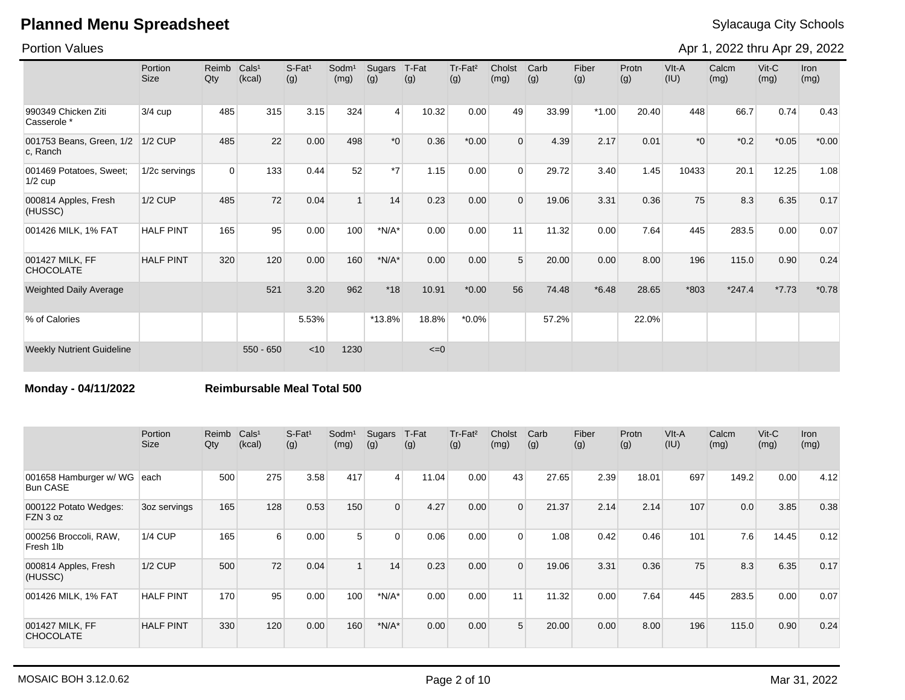Portion Values

Apr 1, 2022 thru Apr 29, 2022

|                                      | Portion<br>Size  | Reimb<br>Qty | Cals <sup>1</sup><br>(kcal) | $S-Fat1$<br>(g) | Sodm <sup>1</sup><br>(mg) | Sugars<br>(g) | T-Fat<br>(g) | Tr-Fat <sup>2</sup><br>(g) | Cholst<br>(mg) | Carb<br>(g) | Fiber<br>(g) | Protn<br>(g) | VIt-A<br>(IU) | Calcm<br>(mg) | $V$ it-C<br>(mg) | Iron<br>(mg) |
|--------------------------------------|------------------|--------------|-----------------------------|-----------------|---------------------------|---------------|--------------|----------------------------|----------------|-------------|--------------|--------------|---------------|---------------|------------------|--------------|
| 990349 Chicken Ziti<br>Casserole *   | $3/4$ cup        | 485          | 315                         | 3.15            | 324                       | 4             | 10.32        | 0.00                       | 49             | 33.99       | $*1.00$      | 20.40        | 448           | 66.7          | 0.74             | 0.43         |
| 001753 Beans, Green, 1/2<br>c. Ranch | 1/2 CUP          | 485          | 22                          | 0.00            | 498                       | $*_{0}$       | 0.36         | $*0.00$                    | $\Omega$       | 4.39        | 2.17         | 0.01         | $*_{0}$       | $*0.2$        | $*0.05$          | $*0.00$      |
| 001469 Potatoes, Sweet;<br>$1/2$ cup | 1/2c servings    | $\Omega$     | 133                         | 0.44            | 52                        | $*7$          | 1.15         | 0.00                       | $\Omega$       | 29.72       | 3.40         | 1.45         | 10433         | 20.1          | 12.25            | 1.08         |
| 000814 Apples, Fresh<br>(HUSSC)      | <b>1/2 CUP</b>   | 485          | 72                          | 0.04            | $\mathbf{1}$              | 14            | 0.23         | 0.00                       | $\Omega$       | 19.06       | 3.31         | 0.36         | 75            | 8.3           | 6.35             | 0.17         |
| 001426 MILK, 1% FAT                  | <b>HALF PINT</b> | 165          | 95                          | 0.00            | 100                       | $*N/A*$       | 0.00         | 0.00                       | 11             | 11.32       | 0.00         | 7.64         | 445           | 283.5         | 0.00             | 0.07         |
| 001427 MILK, FF<br><b>CHOCOLATE</b>  | <b>HALF PINT</b> | 320          | 120                         | 0.00            | 160                       | $*N/A*$       | 0.00         | 0.00                       | 5              | 20.00       | 0.00         | 8.00         | 196           | 115.0         | 0.90             | 0.24         |
| <b>Weighted Daily Average</b>        |                  |              | 521                         | 3.20            | 962                       | $*18$         | 10.91        | $*0.00$                    | 56             | 74.48       | $*6.48$      | 28.65        | *803          | $*247.4$      | $*7.73$          | $*0.78$      |
| % of Calories                        |                  |              |                             | 5.53%           |                           | *13.8%        | 18.8%        | $*0.0\%$                   |                | 57.2%       |              | 22.0%        |               |               |                  |              |
| <b>Weekly Nutrient Guideline</b>     |                  |              | $550 - 650$                 | < 10            | 1230                      |               | $\leq 0$     |                            |                |             |              |              |               |               |                  |              |

**Monday - 04/11/2022 Reimbursable Meal Total 500**

|                                           | Portion<br>Size  | Reimb Cals <sup>1</sup><br>Qty | (kcal) | $S$ -Fat <sup>1</sup><br>(g) | Sodm <sup>1</sup><br>(mg) | Sugars<br>(g)  | T-Fat<br>(g) | $Tr-Fat2$<br>(g) | Cholst<br>(mg) | Carb<br>(g) | Fiber<br>(g) | Protn<br>(g) | $V$ lt-A<br>(IU) | Calcm<br>(mg) | $V$ it-C<br>(mg) | <b>Iron</b><br>(mg) |
|-------------------------------------------|------------------|--------------------------------|--------|------------------------------|---------------------------|----------------|--------------|------------------|----------------|-------------|--------------|--------------|------------------|---------------|------------------|---------------------|
| 001658 Hamburger w/ WG<br><b>Bun CASE</b> | each             | 500                            | 275    | 3.58                         | 417                       | $\overline{4}$ | 11.04        | 0.00             | 43             | 27.65       | 2.39         | 18.01        | 697              | 149.2         | 0.00             | 4.12                |
| 000122 Potato Wedges:<br>FZN 3 oz         | 3oz servings     | 165                            | 128    | 0.53                         | 150                       | $\Omega$       | 4.27         | 0.00             | $\Omega$       | 21.37       | 2.14         | 2.14         | 107              | 0.0           | 3.85             | 0.38                |
| 000256 Broccoli, RAW,<br>Fresh 1lb        | <b>1/4 CUP</b>   | 165                            | 6      | 0.00                         | 5                         | $\Omega$       | 0.06         | 0.00             | $\Omega$       | 1.08        | 0.42         | 0.46         | 101              | 7.6           | 14.45            | 0.12                |
| 000814 Apples, Fresh<br>(HUSSC)           | <b>1/2 CUP</b>   | 500                            | 72     | 0.04                         |                           | 14             | 0.23         | 0.00             | $\Omega$       | 19.06       | 3.31         | 0.36         | 75               | 8.3           | 6.35             | 0.17                |
| 001426 MILK, 1% FAT                       | <b>HALF PINT</b> | 170                            | 95     | 0.00                         | 100                       | $*N/A*$        | 0.00         | 0.00             | 11             | 11.32       | 0.00         | 7.64         | 445              | 283.5         | 0.00             | 0.07                |
| 001427 MILK, FF<br><b>CHOCOLATE</b>       | <b>HALF PINT</b> | 330                            | 120    | 0.00                         | 160                       | $*N/A*$        | 0.00         | 0.00             | 5              | 20.00       | 0.00         | 8.00         | 196              | 115.0         | 0.90             | 0.24                |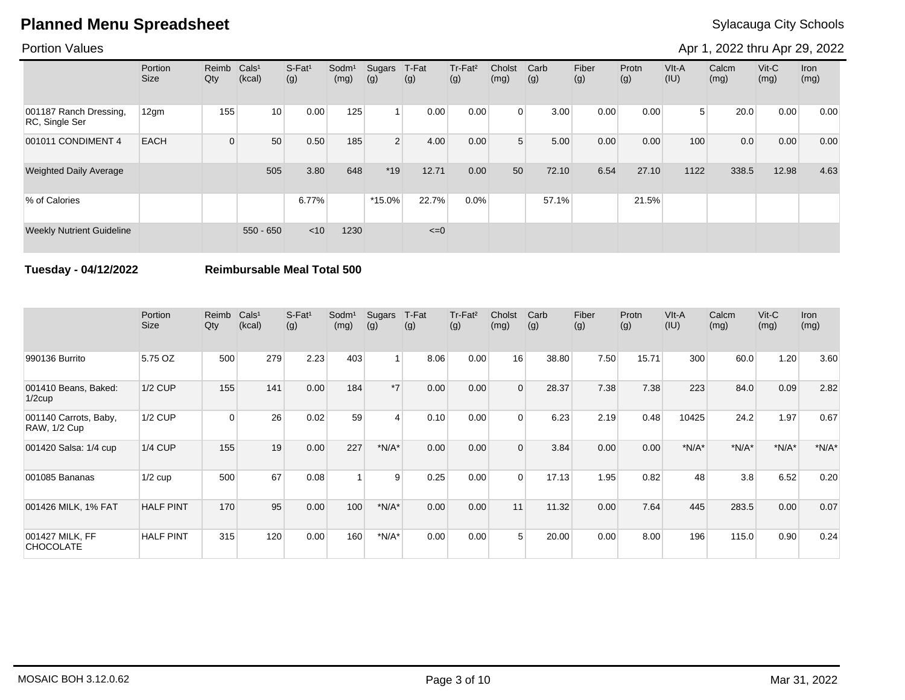### Portion Values

Apr 1, 2022 thru Apr 29, 2022

|                                          | Portion<br>Size | Reimb<br>Qty | Cals <sup>1</sup><br>(kcal) | $S-Fat1$<br>(g) | Sodm <sup>1</sup><br>(mg) | Sugars<br>(g)  | T-Fat<br>(g) | Tr-Fat <sup>2</sup><br>(g) | Cholst<br>(mg) | Carb<br>(g) | Fiber<br>(g) | Protn<br>(g) | $V$ lt-A<br>(IU) | Calcm<br>(mg) | $V$ it-C<br>(mg) | <b>Iron</b><br>(mg) |
|------------------------------------------|-----------------|--------------|-----------------------------|-----------------|---------------------------|----------------|--------------|----------------------------|----------------|-------------|--------------|--------------|------------------|---------------|------------------|---------------------|
| 001187 Ranch Dressing,<br>RC, Single Ser | 12gm            | 155          | 10 <sup>1</sup>             | 0.00            | 125                       | $\overline{ }$ | 0.00         | 0.00                       | $\Omega$       | 3.00        | 0.00         | 0.00         | 5 <sup>1</sup>   | 20.0          | 0.00             | 0.00                |
| 001011 CONDIMENT 4                       | <b>EACH</b>     | $\Omega$     | 50                          | 0.50            | 185                       | $2^{\mid}$     | 4.00         | 0.00                       | 5 <sup>1</sup> | 5.00        | 0.00         | 0.00         | 100              | 0.0           | 0.00             | 0.00                |
| <b>Weighted Daily Average</b>            |                 |              | 505                         | 3.80            | 648                       | $*19$          | 12.71        | 0.00                       | 50             | 72.10       | 6.54         | 27.10        | 1122             | 338.5         | 12.98            | 4.63                |
| % of Calories                            |                 |              |                             | $6.77\%$        |                           | $*15.0\%$      | 22.7%        | 0.0%                       |                | 57.1%       |              | 21.5%        |                  |               |                  |                     |
| <b>Weekly Nutrient Guideline</b>         |                 |              | $550 - 650$                 | < 10            | 1230                      |                | $\leq=0$     |                            |                |             |              |              |                  |               |                  |                     |

**Tuesday - 04/12/2022 Reimbursable Meal Total 500**

|                                              | Portion<br><b>Size</b> | Reimb<br>Qty | Cals <sup>1</sup><br>(kcal) | $S-Fat1$<br>(g) | Sodm <sup>1</sup><br>(mg) | Sugars<br>(g) | T-Fat<br>(g) | Tr-Fat <sup>2</sup><br>(g) | Cholst<br>(mg) | Carb<br>(g) | Fiber<br>(g) | Protn<br>(g) | VIt-A<br>(IU) | Calcm<br>(mg) | $V$ it-C<br>(mg) | <b>Iron</b><br>(mg) |
|----------------------------------------------|------------------------|--------------|-----------------------------|-----------------|---------------------------|---------------|--------------|----------------------------|----------------|-------------|--------------|--------------|---------------|---------------|------------------|---------------------|
| 990136 Burrito                               | 5.75 OZ                | 500          | 279                         | 2.23            | 403                       |               | 8.06         | 0.00                       | 16             | 38.80       | 7.50         | 15.71        | 300           | 60.0          | 1.20             | 3.60                |
| 001410 Beans, Baked:<br>$1/2$ cup            | $1/2$ CUP              | 155          | 141                         | 0.00            | 184                       | $*7$          | 0.00         | 0.00                       | $\Omega$       | 28.37       | 7.38         | 7.38         | 223           | 84.0          | 0.09             | 2.82                |
| 001140 Carrots, Baby,<br><b>RAW, 1/2 Cup</b> | 1/2 CUP                | $\Omega$     | 26                          | 0.02            | 59                        | 4             | 0.10         | 0.00                       | $\Omega$       | 6.23        | 2.19         | 0.48         | 10425         | 24.2          | 1.97             | 0.67                |
| 001420 Salsa: 1/4 cup                        | $1/4$ CUP              | 155          | 19                          | 0.00            | 227                       | $*N/A*$       | 0.00         | 0.00                       | $\overline{0}$ | 3.84        | 0.00         | 0.00         | $*N/A*$       | $*N/A*$       | $*N/A*$          | $*N/A*$             |
| 001085 Bananas                               | $1/2$ cup              | 500          | 67                          | 0.08            |                           | 9             | 0.25         | 0.00                       | $\Omega$       | 17.13       | 1.95         | 0.82         | 48            | 3.8           | 6.52             | 0.20                |
| 001426 MILK, 1% FAT                          | <b>HALF PINT</b>       | 170          | 95                          | 0.00            | 100                       | $*N/A*$       | 0.00         | 0.00                       | 11             | 11.32       | 0.00         | 7.64         | 445           | 283.5         | 0.00             | 0.07                |
| 001427 MILK, FF<br><b>CHOCOLATE</b>          | <b>HALF PINT</b>       | 315          | 120                         | 0.00            | 160                       | $*N/A*$       | 0.00         | 0.00                       | 5              | 20.00       | 0.00         | 8.00         | 196           | 115.0         | 0.90             | 0.24                |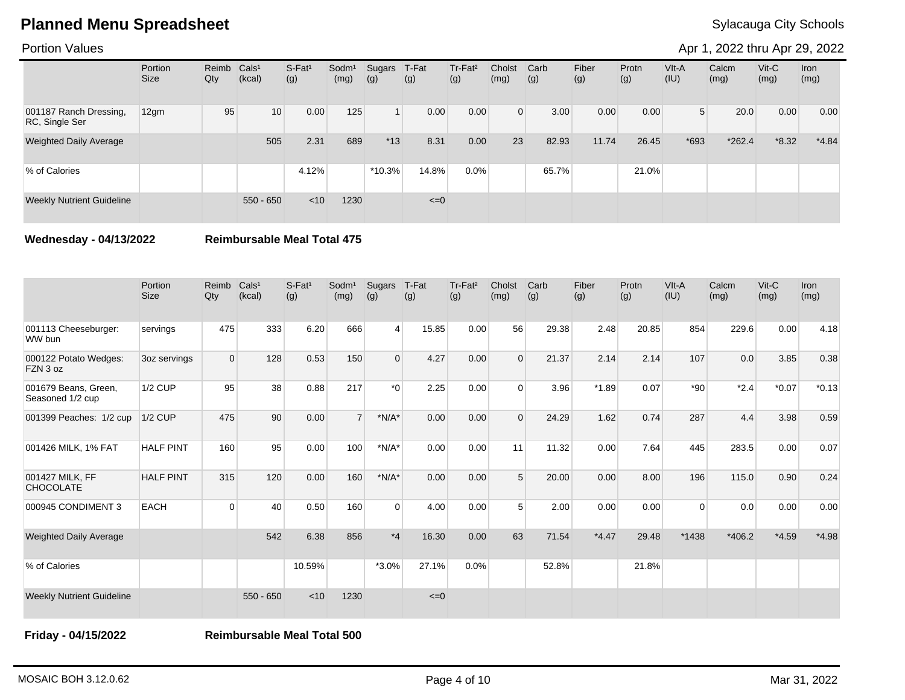Portion Values

Apr 1, 2022 thru Apr 29, 2022

|                                          | Portion<br><b>Size</b> | Reimb<br>Qty | Cals <sup>1</sup><br>(kcal) | $S-Fat1$<br>(g) | Sodm <sup>1</sup><br>(mg) | Sugars<br>(g) | T-Fat<br>(g) | Tr-Fat <sup>2</sup><br>(g) | Cholst<br>(mg) | Carb<br>(g) | Fiber<br>(g) | Protn<br>(g) | VIt-A<br>(IU)  | Calcm<br>(mg) | $V$ it-C<br>(mg) | <b>Iron</b><br>(mg) |
|------------------------------------------|------------------------|--------------|-----------------------------|-----------------|---------------------------|---------------|--------------|----------------------------|----------------|-------------|--------------|--------------|----------------|---------------|------------------|---------------------|
| 001187 Ranch Dressing,<br>RC, Single Ser | 12gm                   | 95           | 10 <sup>1</sup>             | 0.00            | 125                       |               | 0.00         | 0.00                       | $\overline{0}$ | 3.00        | 0.00         | 0.00         | 5 <sup>1</sup> | 20.0          | 0.00             | 0.00                |
| <b>Weighted Daily Average</b>            |                        |              | 505                         | 2.31            | 689                       | $*13$         | 8.31         | 0.00                       | 23             | 82.93       | 11.74        | 26.45        | $*693$         | $*262.4$      | $*8.32$          | $*4.84$             |
| % of Calories                            |                        |              |                             | 4.12%           |                           | $*10.3%$      | 14.8%        | 0.0%                       |                | 65.7%       |              | 21.0%        |                |               |                  |                     |
| <b>Weekly Nutrient Guideline</b>         |                        |              | $550 - 650$                 | < 10            | 1230                      |               | $\leq=0$     |                            |                |             |              |              |                |               |                  |                     |

**Wednesday - 04/13/2022 Reimbursable Meal Total 475**

|                                          | Portion<br><b>Size</b> | Reimb<br>Qty   | Cals <sup>1</sup><br>(kcal) | $S$ -Fat <sup>1</sup><br>(g) | Sodm <sup>1</sup><br>(mg) | Sugars<br>(g) | T-Fat<br>(g) | Tr-Fat <sup>2</sup><br>(g) | Cholst<br>(mg) | Carb<br>(g) | Fiber<br>(g) | Protn<br>(g) | VIt-A<br>(IU) | Calcm<br>(mg) | $V$ it-C<br>(mg) | <b>Iron</b><br>(mg) |
|------------------------------------------|------------------------|----------------|-----------------------------|------------------------------|---------------------------|---------------|--------------|----------------------------|----------------|-------------|--------------|--------------|---------------|---------------|------------------|---------------------|
| 001113 Cheeseburger:<br>WW bun           | servings               | 475            | 333                         | 6.20                         | 666                       | $\vert$       | 15.85        | 0.00                       | 56             | 29.38       | 2.48         | 20.85        | 854           | 229.6         | 0.00             | 4.18                |
| 000122 Potato Wedges:<br>FZN 3 oz        | 3oz servings           | $\overline{0}$ | 128                         | 0.53                         | 150                       | $\mathbf 0$   | 4.27         | 0.00                       | $\Omega$       | 21.37       | 2.14         | 2.14         | 107           | 0.0           | 3.85             | 0.38                |
| 001679 Beans, Green,<br>Seasoned 1/2 cup | 1/2 CUP                | 95             | 38                          | 0.88                         | 217                       | $*_{0}$       | 2.25         | 0.00                       | $\Omega$       | 3.96        | $*1.89$      | 0.07         | $*90$         | $*2.4$        | $*0.07$          | $*0.13$             |
| 001399 Peaches: 1/2 cup                  | $1/2$ CUP              | 475            | 90                          | 0.00                         | $\overline{7}$            | $*N/A*$       | 0.00         | 0.00                       | $\Omega$       | 24.29       | 1.62         | 0.74         | 287           | 4.4           | 3.98             | 0.59                |
| 001426 MILK, 1% FAT                      | <b>HALF PINT</b>       | 160            | 95                          | 0.00                         | 100                       | $*N/A*$       | 0.00         | 0.00                       | 11             | 11.32       | 0.00         | 7.64         | 445           | 283.5         | 0.00             | 0.07                |
| 001427 MILK, FF<br><b>CHOCOLATE</b>      | <b>HALF PINT</b>       | 315            | 120                         | 0.00                         | 160                       | $*N/A*$       | 0.00         | 0.00                       | 5              | 20.00       | 0.00         | 8.00         | 196           | 115.0         | 0.90             | 0.24                |
| 000945 CONDIMENT 3                       | <b>EACH</b>            | $\Omega$       | 40                          | 0.50                         | 160                       | $\Omega$      | 4.00         | 0.00                       | 5              | 2.00        | 0.00         | 0.00         | $\Omega$      | 0.0           | 0.00             | 0.00                |
| <b>Weighted Daily Average</b>            |                        |                | 542                         | 6.38                         | 856                       | $*_{4}$       | 16.30        | 0.00                       | 63             | 71.54       | $*4.47$      | 29.48        | *1438         | $*406.2$      | $*4.59$          | $*4.98$             |
| % of Calories                            |                        |                |                             | 10.59%                       |                           | $*3.0\%$      | 27.1%        | 0.0%                       |                | 52.8%       |              | 21.8%        |               |               |                  |                     |
| <b>Weekly Nutrient Guideline</b>         |                        |                | $550 - 650$                 | < 10                         | 1230                      |               | $\leq=0$     |                            |                |             |              |              |               |               |                  |                     |

**Friday - 04/15/2022 Reimbursable Meal Total 500**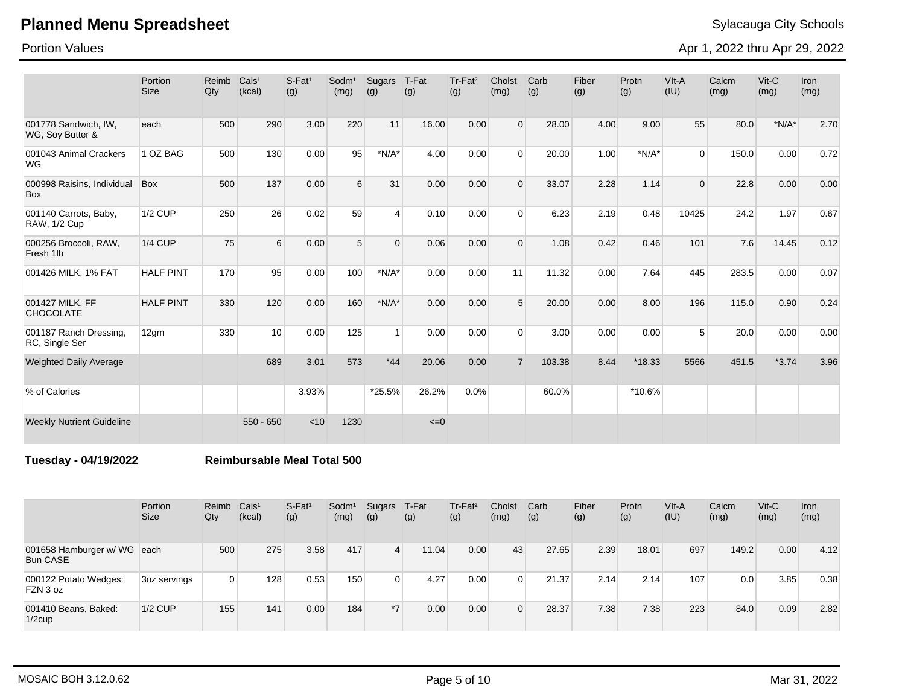Portion Values

Apr 1, 2022 thru Apr 29, 2022

|                                              | Portion<br><b>Size</b> | Reimb<br>Qty | Cals <sup>1</sup><br>(kcal) | $S-Fat1$<br>(g) | Sodm <sup>1</sup><br>(mg) | Sugars<br>(g)  | T-Fat<br>(g) | Tr-Fat <sup>2</sup><br>(g) | Cholst<br>(mg) | Carb<br>(g) | Fiber<br>(g) | Protn<br>(g) | VIt-A<br>(IU)  | Calcm<br>(mg) | $V$ it-C<br>(mg) | <b>Iron</b><br>(mg) |
|----------------------------------------------|------------------------|--------------|-----------------------------|-----------------|---------------------------|----------------|--------------|----------------------------|----------------|-------------|--------------|--------------|----------------|---------------|------------------|---------------------|
| 001778 Sandwich, IW,<br>WG, Soy Butter &     | each                   | 500          | 290                         | 3.00            | 220                       | 11             | 16.00        | 0.00                       | $\Omega$       | 28.00       | 4.00         | 9.00         | 55             | 80.0          | $*N/A*$          | 2.70                |
| 001043 Animal Crackers<br><b>WG</b>          | 1 OZ BAG               | 500          | 130                         | 0.00            | 95                        | $*N/A*$        | 4.00         | 0.00                       | $\Omega$       | 20.00       | 1.00         | $*N/A*$      | $\Omega$       | 150.0         | 0.00             | 0.72                |
| 000998 Raisins, Individual<br><b>Box</b>     | <b>Box</b>             | 500          | 137                         | 0.00            | 6                         | 31             | 0.00         | 0.00                       | $\Omega$       | 33.07       | 2.28         | 1.14         | $\Omega$       | 22.8          | 0.00             | 0.00                |
| 001140 Carrots, Baby,<br><b>RAW, 1/2 Cup</b> | <b>1/2 CUP</b>         | 250          | 26                          | 0.02            | 59                        | $\overline{4}$ | 0.10         | 0.00                       | $\Omega$       | 6.23        | 2.19         | 0.48         | 10425          | 24.2          | 1.97             | 0.67                |
| 000256 Broccoli, RAW,<br>Fresh 1lb           | <b>1/4 CUP</b>         | 75           | 6                           | 0.00            | 5                         | $\Omega$       | 0.06         | 0.00                       | $\Omega$       | 1.08        | 0.42         | 0.46         | 101            | 7.6           | 14.45            | 0.12                |
| 001426 MILK, 1% FAT                          | <b>HALF PINT</b>       | 170          | 95                          | 0.00            | 100                       | $*N/A*$        | 0.00         | 0.00                       | 11             | 11.32       | 0.00         | 7.64         | 445            | 283.5         | 0.00             | 0.07                |
| 001427 MILK, FF<br><b>CHOCOLATE</b>          | <b>HALF PINT</b>       | 330          | 120                         | 0.00            | 160                       | $*N/A*$        | 0.00         | 0.00                       | 5 <sup>5</sup> | 20.00       | 0.00         | 8.00         | 196            | 115.0         | 0.90             | 0.24                |
| 001187 Ranch Dressing,<br>RC, Single Ser     | 12gm                   | 330          | 10                          | 0.00            | 125                       | 1              | 0.00         | 0.00                       | $\Omega$       | 3.00        | 0.00         | 0.00         | 5 <sup>1</sup> | 20.0          | 0.00             | 0.00                |
| <b>Weighted Daily Average</b>                |                        |              | 689                         | 3.01            | 573                       | $*44$          | 20.06        | 0.00                       | $\overline{7}$ | 103.38      | 8.44         | $*18.33$     | 5566           | 451.5         | $*3.74$          | 3.96                |
| % of Calories                                |                        |              |                             | 3.93%           |                           | *25.5%         | 26.2%        | $0.0\%$                    |                | 60.0%       |              | *10.6%       |                |               |                  |                     |
| <b>Weekly Nutrient Guideline</b>             |                        |              | $550 - 650$                 | < 10            | 1230                      |                | $\leq=0$     |                            |                |             |              |              |                |               |                  |                     |

**Tuesday - 04/19/2022 Reimbursable Meal Total 500**

|                                                | Portion<br><b>Size</b> | Reimb<br>Qty | Cals <sup>1</sup><br>(kcal) | S-Fat <sup>1</sup><br>(g) | Sodm <sup>1</sup><br>(mg) | Sugars<br>(g)  | T-Fat<br>(g) | Tr-Fat <sup>2</sup><br>(g) | Cholst<br>(mg) | Carb<br>(g) | Fiber<br>(g) | Protn<br>(g) | VIt-A<br>(IU) | Calcm<br>(mg) | $V$ it- $C$<br>(mg) | Iron<br>(mg) |
|------------------------------------------------|------------------------|--------------|-----------------------------|---------------------------|---------------------------|----------------|--------------|----------------------------|----------------|-------------|--------------|--------------|---------------|---------------|---------------------|--------------|
| 001658 Hamburger w/ WG each<br><b>Bun CASE</b> |                        | 500          | 275                         | 3.58                      | 417                       | $\overline{4}$ | 11.04        | 0.00                       | 43             | 27.65       | 2.39         | 18.01        | 697           | 149.2         | 0.00                | 4.12         |
| 000122 Potato Wedges:<br>FZN 3 oz              | 3oz servings           |              | 128                         | 0.53                      | 150                       | $\Omega$       | 4.27         | 0.00                       | 0              | 21.37       | 2.14         | 2.14         | 107           | 0.0           | 3.85                | 0.38         |
| 001410 Beans, Baked:<br>$1/2$ cup              | $1/2$ CUP              | 155          | 141                         | 0.00                      | 184                       | $*7$           | 0.00         | 0.00                       | $\Omega$       | 28.37       | 7.38         | 7.38         | 223           | 84.0          | 0.09                | 2.82         |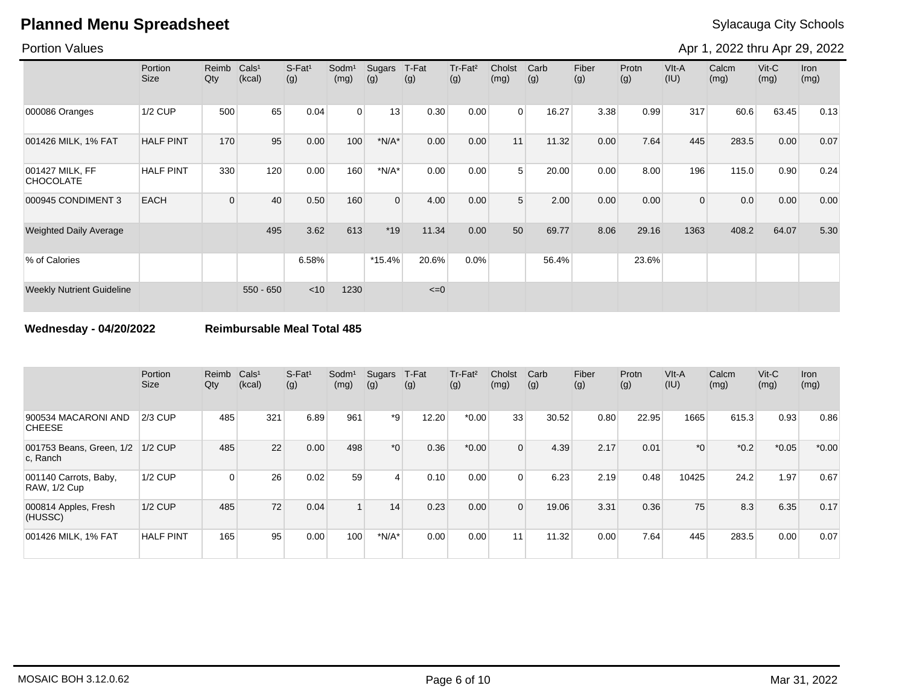### Portion Values

Apr 1, 2022 thru Apr 29, 2022

|                                     | Portion<br><b>Size</b> | Reimb<br>Qty | CalS <sup>1</sup><br>(kcal) | S-Fat <sup>1</sup><br>(g) | Sodm <sup>1</sup><br>(mg) | Sugars<br>(g)  | T-Fat<br>(g) | Tr-Fat <sup>2</sup><br>(g) | Cholst<br>(mg) | Carb<br>(g) | Fiber<br>(g) | Protn<br>(g) | VIt-A<br>(IU)  | Calcm<br>(mg) | $V$ it-C<br>(mg) | <b>Iron</b><br>(mg) |
|-------------------------------------|------------------------|--------------|-----------------------------|---------------------------|---------------------------|----------------|--------------|----------------------------|----------------|-------------|--------------|--------------|----------------|---------------|------------------|---------------------|
| 000086 Oranges                      | <b>1/2 CUP</b>         | 500          | 65                          | 0.04                      | $\overline{0}$            | 13             | 0.30         | 0.00                       | $\Omega$       | 16.27       | 3.38         | 0.99         | 317            | 60.6          | 63.45            | 0.13                |
| 001426 MILK, 1% FAT                 | <b>HALF PINT</b>       | 170          | 95                          | 0.00                      | 100                       | $*N/A*$        | 0.00         | 0.00                       | 11             | 11.32       | 0.00         | 7.64         | 445            | 283.5         | 0.00             | 0.07                |
| 001427 MILK, FF<br><b>CHOCOLATE</b> | <b>HALF PINT</b>       | 330          | 120                         | 0.00                      | 160                       | $*N/A*$        | 0.00         | 0.00                       | 5 <sup>1</sup> | 20.00       | 0.00         | 8.00         | 196            | 115.0         | 0.90             | 0.24                |
| 000945 CONDIMENT 3                  | <b>EACH</b>            | $\Omega$     | 40                          | 0.50                      | 160                       | $\overline{0}$ | 4.00         | 0.00                       | 5 <sup>1</sup> | 2.00        | 0.00         | 0.00         | $\overline{0}$ | 0.0           | 0.00             | 0.00                |
| <b>Weighted Daily Average</b>       |                        |              | 495                         | 3.62                      | 613                       | $*19$          | 11.34        | 0.00                       | 50             | 69.77       | 8.06         | 29.16        | 1363           | 408.2         | 64.07            | 5.30                |
| % of Calories                       |                        |              |                             | 6.58%                     |                           | $*15.4%$       | 20.6%        | 0.0%                       |                | 56.4%       |              | 23.6%        |                |               |                  |                     |
| <b>Weekly Nutrient Guideline</b>    |                        |              | $550 - 650$                 | < 10                      | 1230                      |                | $\leq=0$     |                            |                |             |              |              |                |               |                  |                     |

**Wednesday - 04/20/2022 Reimbursable Meal Total 485**

|                                       | Portion<br><b>Size</b> | Reimb<br>Qty | Cals <sup>1</sup><br>(kcal) | $S$ -Fat <sup>1</sup><br>(g) | Sodm <sup>1</sup><br>(mg) | Sugars<br>(g) | T-Fat<br>(g) | Tr-Fat <sup>2</sup><br>(g) | Cholst<br>(mg) | Carb<br>(g) | Fiber<br>(g) | Protn<br>(g) | VIt-A<br>(IU) | Calcm<br>(mg) | $V$ it-C<br>(mg) | <b>Iron</b><br>(mg) |
|---------------------------------------|------------------------|--------------|-----------------------------|------------------------------|---------------------------|---------------|--------------|----------------------------|----------------|-------------|--------------|--------------|---------------|---------------|------------------|---------------------|
| 900534 MACARONI AND<br><b>CHEESE</b>  | $2/3$ CUP              | 485          | 321                         | 6.89                         | 961                       | *9            | 12.20        | $*0.00$                    | 33             | 30.52       | 0.80         | 22.95        | 1665          | 615.3         | 0.93             | 0.86                |
| 001753 Beans, Green, 1/2<br>c. Ranch  | $1/2$ CUP              | 485          | 22                          | 0.00                         | 498                       | $*0$          | 0.36         | $*0.00$                    | 0              | 4.39        | 2.17         | 0.01         | $^*$ 0        | $*0.2$        | $*0.05$          | $*0.00$             |
| 001140 Carrots, Baby,<br>RAW, 1/2 Cup | <b>1/2 CUP</b>         | $\Omega$     | 26                          | 0.02                         | 59                        | 4             | 0.10         | 0.00                       | $\Omega$       | 6.23        | 2.19         | 0.48         | 10425         | 24.2          | 1.97             | 0.67                |
| 000814 Apples, Fresh<br>(HUSSC)       | $1/2$ CUP              | 485          | 72                          | 0.04                         |                           | 14            | 0.23         | 0.00                       | $\Omega$       | 19.06       | 3.31         | 0.36         | 75            | 8.3           | 6.35             | 0.17                |
| 001426 MILK, 1% FAT                   | <b>HALF PINT</b>       | 165          | 95                          | 0.00                         | 100                       | $*N/A*$       | 0.00         | 0.00                       | 11             | 11.32       | 0.00         | 7.64         | 445           | 283.5         | 0.00             | 0.07                |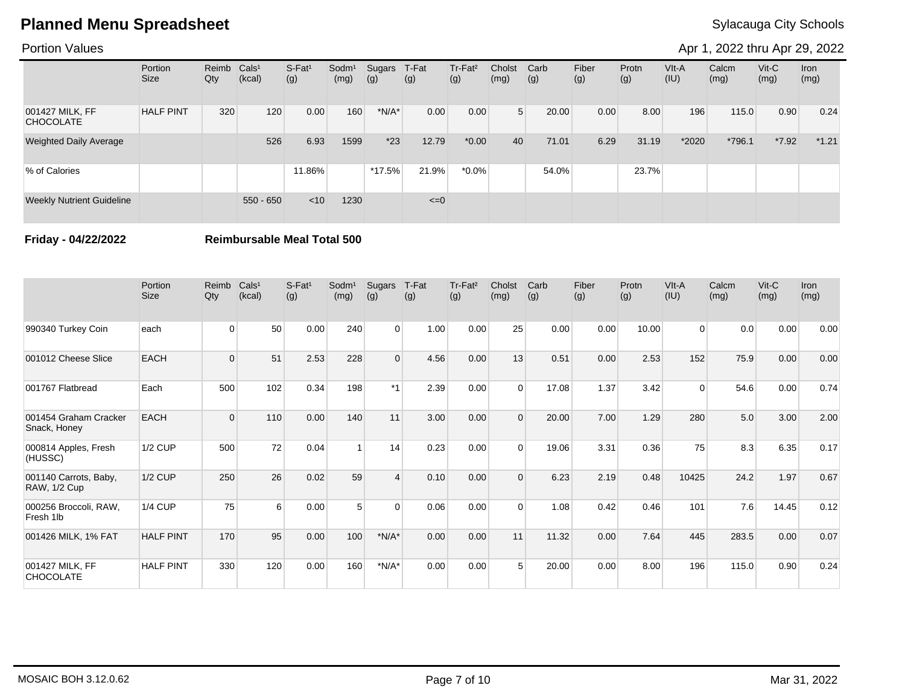### Portion Values

Apr 1, 2022 thru Apr 29, 2022

|                                     | Portion<br><b>Size</b> | Reimb Cals <sup>1</sup><br>Qty | (kcal)      | $S-Fat1$<br>(g) | Sodm <sup>1</sup><br>(mg) | Sugars<br>(g) | T-Fat<br>(g) | Tr-Fat <sup>2</sup><br>(g) | Cholst<br>(mg) | Carb<br>(g) | Fiber<br>(g) | Protn<br>(g) | VIt-A<br>(IU) | Calcm<br>(mg) | $V$ it-C<br>(mg) | <b>Iron</b><br>(mg) |
|-------------------------------------|------------------------|--------------------------------|-------------|-----------------|---------------------------|---------------|--------------|----------------------------|----------------|-------------|--------------|--------------|---------------|---------------|------------------|---------------------|
| 001427 MILK, FF<br><b>CHOCOLATE</b> | <b>HALF PINT</b>       | 320                            | 120         | 0.00            | 160                       | $*N/A*$       | 0.00         | 0.00                       | 5 <sup>1</sup> | 20.00       | 0.00         | 8.00         | 196           | 115.0         | 0.90             | 0.24                |
| <b>Weighted Daily Average</b>       |                        |                                | 526         | 6.93            | 1599                      | $*23$         | 12.79        | $*0.00$                    | 40             | 71.01       | 6.29         | 31.19        | *2020         | *796.1        | $*7.92$          | $*1.21$             |
| % of Calories                       |                        |                                |             | 11.86%          |                           | $*17.5%$      | 21.9%        | $*0.0\%$                   |                | 54.0%       |              | 23.7%        |               |               |                  |                     |
| <b>Weekly Nutrient Guideline</b>    |                        |                                | $550 - 650$ | < 10            | 1230                      |               | $\leq=0$     |                            |                |             |              |              |               |               |                  |                     |

**Friday - 04/22/2022 Reimbursable Meal Total 500**

|                                              | Portion<br><b>Size</b> | Reimb<br>Qty | Cals <sup>1</sup><br>(kcal) | $S-Fat1$<br>(g) | Sodm <sup>1</sup><br>(mg) | Sugars<br>(g) | T-Fat<br>(g) | Tr-Fat <sup>2</sup><br>(g) | Cholst<br>(mg) | Carb<br>(g) | Fiber<br>(g) | Protn<br>(g) | VIt-A<br>(IU)  | Calcm<br>(mg) | $V$ it-C<br>(mg) | <b>Iron</b><br>(mg) |
|----------------------------------------------|------------------------|--------------|-----------------------------|-----------------|---------------------------|---------------|--------------|----------------------------|----------------|-------------|--------------|--------------|----------------|---------------|------------------|---------------------|
| 990340 Turkey Coin                           | each                   | $\Omega$     | 50                          | 0.00            | 240                       | $\Omega$      | 1.00         | 0.00                       | 25             | 0.00        | 0.00         | 10.00        | $\overline{0}$ | 0.0           | 0.00             | 0.00                |
| 001012 Cheese Slice                          | <b>EACH</b>            | $\Omega$     | 51                          | 2.53            | 228                       | $\Omega$      | 4.56         | 0.00                       | 13             | 0.51        | 0.00         | 2.53         | 152            | 75.9          | 0.00             | 0.00                |
| 001767 Flatbread                             | Each                   | 500          | 102                         | 0.34            | 198                       | $*1$          | 2.39         | 0.00                       | $\Omega$       | 17.08       | 1.37         | 3.42         | 0              | 54.6          | 0.00             | 0.74                |
| 001454 Graham Cracker<br>Snack, Honey        | <b>EACH</b>            | $\Omega$     | 110                         | 0.00            | 140                       | 11            | 3.00         | 0.00                       | $\Omega$       | 20.00       | 7.00         | 1.29         | 280            | 5.0           | 3.00             | 2.00                |
| 000814 Apples, Fresh<br>(HUSSC)              | 1/2 CUP                | 500          | 72                          | 0.04            |                           | 14            | 0.23         | 0.00                       | $\Omega$       | 19.06       | 3.31         | 0.36         | 75             | 8.3           | 6.35             | 0.17                |
| 001140 Carrots, Baby,<br><b>RAW, 1/2 Cup</b> | <b>1/2 CUP</b>         | 250          | 26                          | 0.02            | 59                        | $\Delta$      | 0.10         | 0.00                       | $\Omega$       | 6.23        | 2.19         | 0.48         | 10425          | 24.2          | 1.97             | 0.67                |
| 000256 Broccoli, RAW,<br>Fresh 1lb           | <b>1/4 CUP</b>         | 75           | 6                           | 0.00            | 5                         | $\Omega$      | 0.06         | 0.00                       | $\Omega$       | 1.08        | 0.42         | 0.46         | 101            | 7.6           | 14.45            | 0.12                |
| 001426 MILK, 1% FAT                          | <b>HALF PINT</b>       | 170          | 95                          | 0.00            | 100                       | $*N/A*$       | 0.00         | 0.00                       | 11             | 11.32       | 0.00         | 7.64         | 445            | 283.5         | 0.00             | 0.07                |
| 001427 MILK, FF<br><b>CHOCOLATE</b>          | <b>HALF PINT</b>       | 330          | 120                         | 0.00            | 160                       | $*N/A*$       | 0.00         | 0.00                       | 5              | 20.00       | 0.00         | 8.00         | 196            | 115.0         | 0.90             | 0.24                |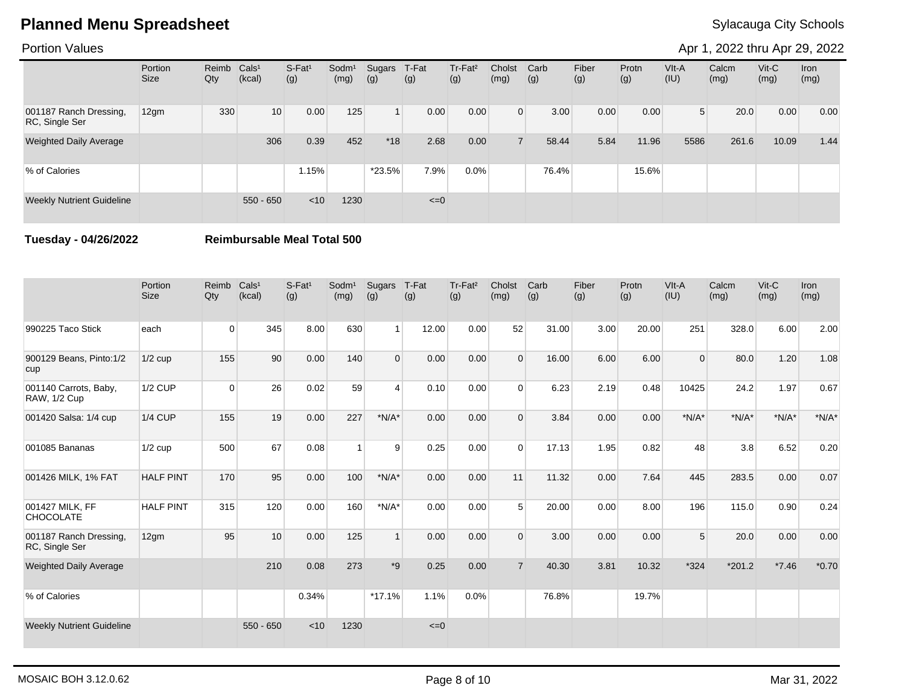Portion Values

Apr 1, 2022 thru Apr 29, 2022

|                                          | Portion<br><b>Size</b> | Reimb Cals <sup>1</sup><br>Qty | (kcal)          | S-Fat <sup>1</sup><br>(g) | Sodm <sup>1</sup><br>(mg) | Sugars<br>(g)  | T-Fat<br>(g) | Tr-Fat <sup>2</sup><br>(g) | Cholst<br>(mg) | Carb<br>(g) | Fiber<br>(g) | Protn<br>(g) | VIt-A<br>(IU)  | Calcm<br>(mg) | $V$ it-C<br>(mg) | <b>Iron</b><br>(mg) |
|------------------------------------------|------------------------|--------------------------------|-----------------|---------------------------|---------------------------|----------------|--------------|----------------------------|----------------|-------------|--------------|--------------|----------------|---------------|------------------|---------------------|
| 001187 Ranch Dressing,<br>RC, Single Ser | 12gm                   | 330                            | 10 <sup>1</sup> | 0.00                      | 125                       | $\overline{1}$ | 0.00         | 0.00                       | $\Omega$       | 3.00        | 0.00         | 0.00         | 5 <sup>1</sup> | 20.0          | 0.00             | 0.00                |
| <b>Weighted Daily Average</b>            |                        |                                | 306             | 0.39                      | 452                       | $*18$          | 2.68         | 0.00                       |                | 58.44       | 5.84         | 11.96        | 5586           | 261.6         | 10.09            | 1.44                |
| % of Calories                            |                        |                                |                 | 1.15%                     |                           | *23.5%         | 7.9%         | 0.0%                       |                | 76.4%       |              | 15.6%        |                |               |                  |                     |
| <b>Weekly Nutrient Guideline</b>         |                        |                                | $550 - 650$     | < 10                      | 1230                      |                | $\leq=0$     |                            |                |             |              |              |                |               |                  |                     |

**Tuesday - 04/26/2022 Reimbursable Meal Total 500**

|                                              | Portion<br><b>Size</b> | Reimb<br>Qty   | Cals <sup>1</sup><br>(kcal) | $S$ -Fat <sup>1</sup><br>(g) | Sodm <sup>1</sup><br>(mg) | Sugars<br>(g)  | T-Fat<br>(g) | Tr-Fat <sup>2</sup><br>(g) | Cholst<br>(mg) | Carb<br>(g) | Fiber<br>(g) | Protn<br>(g) | VIt-A<br>(IU) | Calcm<br>(mg) | $Vit-C$<br>(mg) | Iron<br>(mg) |
|----------------------------------------------|------------------------|----------------|-----------------------------|------------------------------|---------------------------|----------------|--------------|----------------------------|----------------|-------------|--------------|--------------|---------------|---------------|-----------------|--------------|
| 990225 Taco Stick                            | each                   | $\overline{0}$ | 345                         | 8.00                         | 630                       | 1 <sup>1</sup> | 12.00        | 0.00                       | 52             | 31.00       | 3.00         | 20.00        | 251           | 328.0         | 6.00            | 2.00         |
| 900129 Beans, Pinto:1/2<br>cup               | $1/2$ cup              | 155            | 90                          | 0.00                         | 140                       | $\Omega$       | 0.00         | 0.00                       | $\Omega$       | 16.00       | 6.00         | 6.00         | $\Omega$      | 80.0          | 1.20            | 1.08         |
| 001140 Carrots, Baby,<br><b>RAW, 1/2 Cup</b> | <b>1/2 CUP</b>         | $\overline{0}$ | 26                          | 0.02                         | 59                        | $\overline{4}$ | 0.10         | 0.00                       | $\Omega$       | 6.23        | 2.19         | 0.48         | 10425         | 24.2          | 1.97            | 0.67         |
| 001420 Salsa: 1/4 cup                        | $1/4$ CUP              | 155            | 19                          | 0.00                         | 227                       | $*N/A*$        | 0.00         | 0.00                       | $\Omega$       | 3.84        | 0.00         | 0.00         | $*N/A*$       | $*N/A*$       | $*N/A*$         | $*N/A*$      |
| 001085 Bananas                               | $1/2$ cup              | 500            | 67                          | 0.08                         |                           | 9              | 0.25         | 0.00                       | $\Omega$       | 17.13       | 1.95         | 0.82         | 48            | 3.8           | 6.52            | 0.20         |
| 001426 MILK, 1% FAT                          | <b>HALF PINT</b>       | 170            | 95                          | 0.00                         | 100                       | $*N/A*$        | 0.00         | 0.00                       | 11             | 11.32       | 0.00         | 7.64         | 445           | 283.5         | 0.00            | 0.07         |
| 001427 MILK, FF<br><b>CHOCOLATE</b>          | <b>HALF PINT</b>       | 315            | 120                         | 0.00                         | 160                       | $*N/A*$        | 0.00         | 0.00                       | 5              | 20.00       | 0.00         | 8.00         | 196           | 115.0         | 0.90            | 0.24         |
| 001187 Ranch Dressing,<br>RC, Single Ser     | 12gm                   | 95             | 10                          | 0.00                         | 125                       | $\overline{1}$ | 0.00         | 0.00                       | $\overline{0}$ | 3.00        | 0.00         | 0.00         | 5             | 20.0          | 0.00            | 0.00         |
| <b>Weighted Daily Average</b>                |                        |                | 210                         | 0.08                         | 273                       | $*9$           | 0.25         | 0.00                       | $\overline{7}$ | 40.30       | 3.81         | 10.32        | $*324$        | $*201.2$      | $*7.46$         | $*0.70$      |
| % of Calories                                |                        |                |                             | 0.34%                        |                           | $*17.1%$       | 1.1%         | 0.0%                       |                | 76.8%       |              | 19.7%        |               |               |                 |              |
| <b>Weekly Nutrient Guideline</b>             |                        |                | $550 - 650$                 | < 10                         | 1230                      |                | $\leq=0$     |                            |                |             |              |              |               |               |                 |              |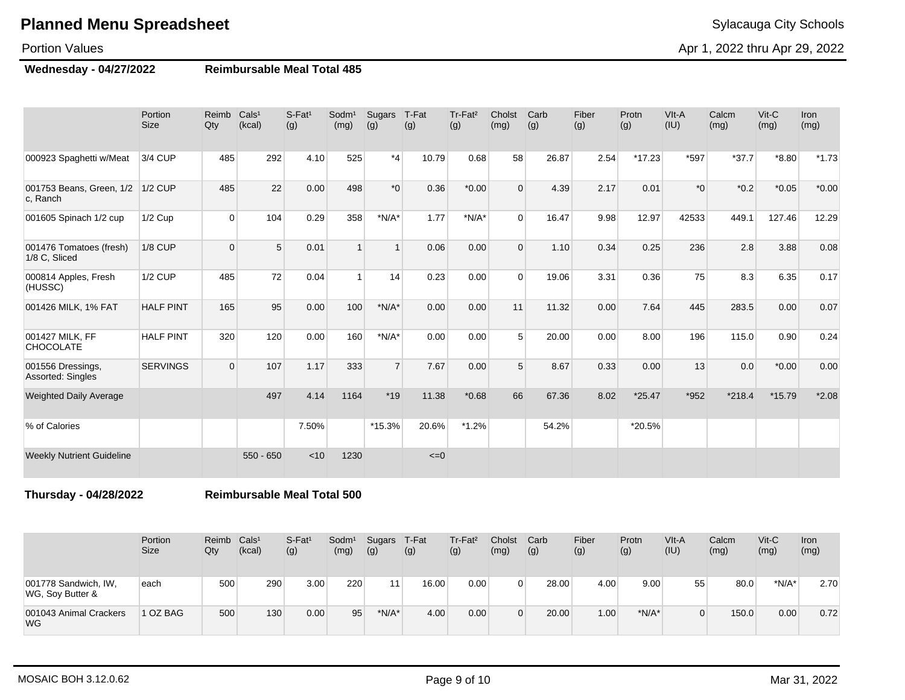#### Portion Values

**Wednesday - 04/27/2022 Reimbursable Meal Total 485**

|                                          | Portion<br><b>Size</b> | Reimb<br>Qty | Cals <sup>1</sup><br>(kcal) | S-Fat <sup>1</sup><br>(g) | Sodm <sup>1</sup><br>(mg) | Sugars<br>(g)    | T-Fat<br>(g) | Tr-Fat <sup>2</sup><br>(g) | Cholst<br>(mg) | Carb<br>(g) | Fiber<br>(g) | Protn<br>(g) | VIt-A<br>(IU) | Calcm<br>(mg) | $Vit-C$<br>(mg) | <b>Iron</b><br>(mg) |
|------------------------------------------|------------------------|--------------|-----------------------------|---------------------------|---------------------------|------------------|--------------|----------------------------|----------------|-------------|--------------|--------------|---------------|---------------|-----------------|---------------------|
| 000923 Spaghetti w/Meat                  | 3/4 CUP                | 485          | 292                         | 4.10                      | 525                       | $*_{4}$          | 10.79        | 0.68                       | 58             | 26.87       | 2.54         | $*17.23$     | *597          | $*37.7$       | $*8.80$         | $*1.73$             |
| 001753 Beans, Green, 1/2<br>c. Ranch     | $1/2$ CUP              | 485          | 22                          | 0.00                      | 498                       | $*$ <sup>0</sup> | 0.36         | $*0.00$                    | $\Omega$       | 4.39        | 2.17         | 0.01         | $*_{0}$       | $*0.2$        | $*0.05$         | $*0.00$             |
| 001605 Spinach 1/2 cup                   | $1/2$ Cup              | $\Omega$     | 104                         | 0.29                      | 358                       | $*N/A*$          | 1.77         | $*N/A*$                    | $\Omega$       | 16.47       | 9.98         | 12.97        | 42533         | 449.1         | 127.46          | 12.29               |
| 001476 Tomatoes (fresh)<br>1/8 C, Sliced | <b>1/8 CUP</b>         | $\Omega$     | 5                           | 0.01                      | $\overline{1}$            | $\mathbf{1}$     | 0.06         | 0.00                       | $\Omega$       | 1.10        | 0.34         | 0.25         | 236           | 2.8           | 3.88            | 0.08                |
| 000814 Apples, Fresh<br>(HUSSC)          | <b>1/2 CUP</b>         | 485          | 72                          | 0.04                      | $\overline{1}$            | 14               | 0.23         | 0.00                       | $\Omega$       | 19.06       | 3.31         | 0.36         | 75            | 8.3           | 6.35            | 0.17                |
| 001426 MILK, 1% FAT                      | <b>HALF PINT</b>       | 165          | 95                          | 0.00                      | 100                       | $*N/A*$          | 0.00         | 0.00                       | 11             | 11.32       | 0.00         | 7.64         | 445           | 283.5         | 0.00            | 0.07                |
| 001427 MILK, FF<br><b>CHOCOLATE</b>      | <b>HALF PINT</b>       | 320          | 120                         | 0.00                      | 160                       | $*N/A*$          | 0.00         | 0.00                       | 5              | 20.00       | 0.00         | 8.00         | 196           | 115.0         | 0.90            | 0.24                |
| 001556 Dressings,<br>Assorted: Singles   | <b>SERVINGS</b>        | $\Omega$     | 107                         | 1.17                      | 333                       | $\overline{7}$   | 7.67         | 0.00                       | 5              | 8.67        | 0.33         | 0.00         | 13            | 0.0           | $*0.00$         | 0.00                |
| <b>Weighted Daily Average</b>            |                        |              | 497                         | 4.14                      | 1164                      | $*19$            | 11.38        | $*0.68$                    | 66             | 67.36       | 8.02         | $*25.47$     | $*952$        | $*218.4$      | $*15.79$        | $*2.08$             |
| % of Calories                            |                        |              |                             | 7.50%                     |                           | $*15.3%$         | 20.6%        | $*1.2%$                    |                | 54.2%       |              | *20.5%       |               |               |                 |                     |
| <b>Weekly Nutrient Guideline</b>         |                        |              | $550 - 650$                 | < 10                      | 1230                      |                  | $\leq=0$     |                            |                |             |              |              |               |               |                 |                     |

**Thursday - 04/28/2022 Reimbursable Meal Total 500**

|                                          | Portion<br>Size | Reimb<br>Qty | Cals <sup>1</sup><br>(kcal) | $S-Fat1$<br>(g) | Sodm <sup>1</sup><br>(mg) | Sugars<br>(g) | T-Fat<br>(g)       | Tr-Fat <sup>2</sup><br>(g) | Cholst<br>(mg) | Carb<br>(g) | Fiber<br>(g) | Protn<br>(g) | VIt-A<br>(IU) | Calcm<br>(mg) | $V$ it-C<br>(mg) | Iron<br>(mg) |
|------------------------------------------|-----------------|--------------|-----------------------------|-----------------|---------------------------|---------------|--------------------|----------------------------|----------------|-------------|--------------|--------------|---------------|---------------|------------------|--------------|
| 001778 Sandwich, IW,<br>WG, Soy Butter & | each            | 500          | 290                         | 3.00            | 220                       | 11            | 16.00 <sub>1</sub> | 0.00                       |                | 28.00       | 4.00         | 9.00         | 55            | 80.0          | $*N/A*$          | 2.70         |
| 001043 Animal Crackers<br><b>WG</b>      | 1 OZ BAG        | 500          | 130                         | 0.00            | 95                        | $*N/A*$       | 4.00               | 0.00                       |                | 20.00       | 1.00         | $*N/A*$      |               | 150.0         | 0.00             | 0.72         |

Apr 1, 2022 thru Apr 29, 2022